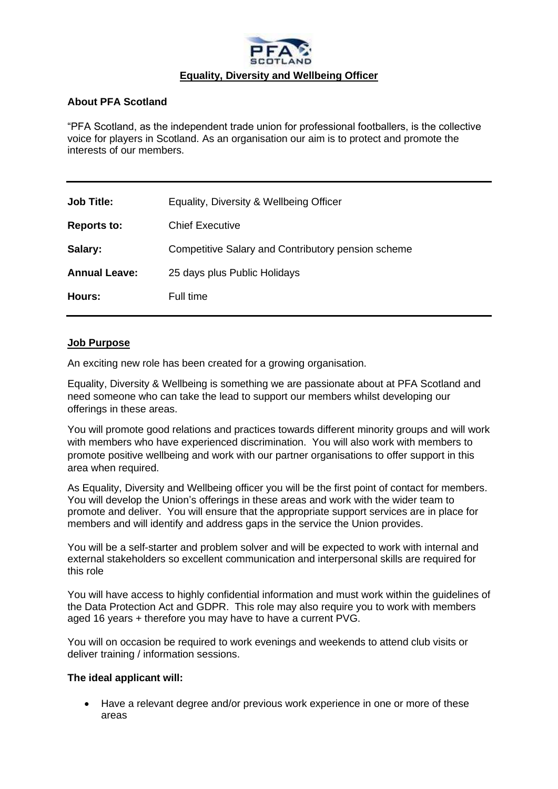

## **About PFA Scotland**

"PFA Scotland, as the independent trade union for professional footballers, is the collective voice for players in Scotland. As an organisation our aim is to protect and promote the interests of our members.

| <b>Job Title:</b>    | Equality, Diversity & Wellbeing Officer            |
|----------------------|----------------------------------------------------|
| <b>Reports to:</b>   | <b>Chief Executive</b>                             |
| Salary:              | Competitive Salary and Contributory pension scheme |
| <b>Annual Leave:</b> | 25 days plus Public Holidays                       |
| Hours:               | Full time                                          |
|                      |                                                    |

## **Job Purpose**

An exciting new role has been created for a growing organisation.

Equality, Diversity & Wellbeing is something we are passionate about at PFA Scotland and need someone who can take the lead to support our members whilst developing our offerings in these areas.

You will promote good relations and practices towards different minority groups and will work with members who have experienced discrimination. You will also work with members to promote positive wellbeing and work with our partner organisations to offer support in this area when required.

As Equality, Diversity and Wellbeing officer you will be the first point of contact for members. You will develop the Union's offerings in these areas and work with the wider team to promote and deliver. You will ensure that the appropriate support services are in place for members and will identify and address gaps in the service the Union provides.

You will be a self-starter and problem solver and will be expected to work with internal and external stakeholders so excellent communication and interpersonal skills are required for this role

You will have access to highly confidential information and must work within the guidelines of the Data Protection Act and GDPR. This role may also require you to work with members aged 16 years + therefore you may have to have a current PVG.

You will on occasion be required to work evenings and weekends to attend club visits or deliver training / information sessions.

## **The ideal applicant will:**

• Have a relevant degree and/or previous work experience in one or more of these areas